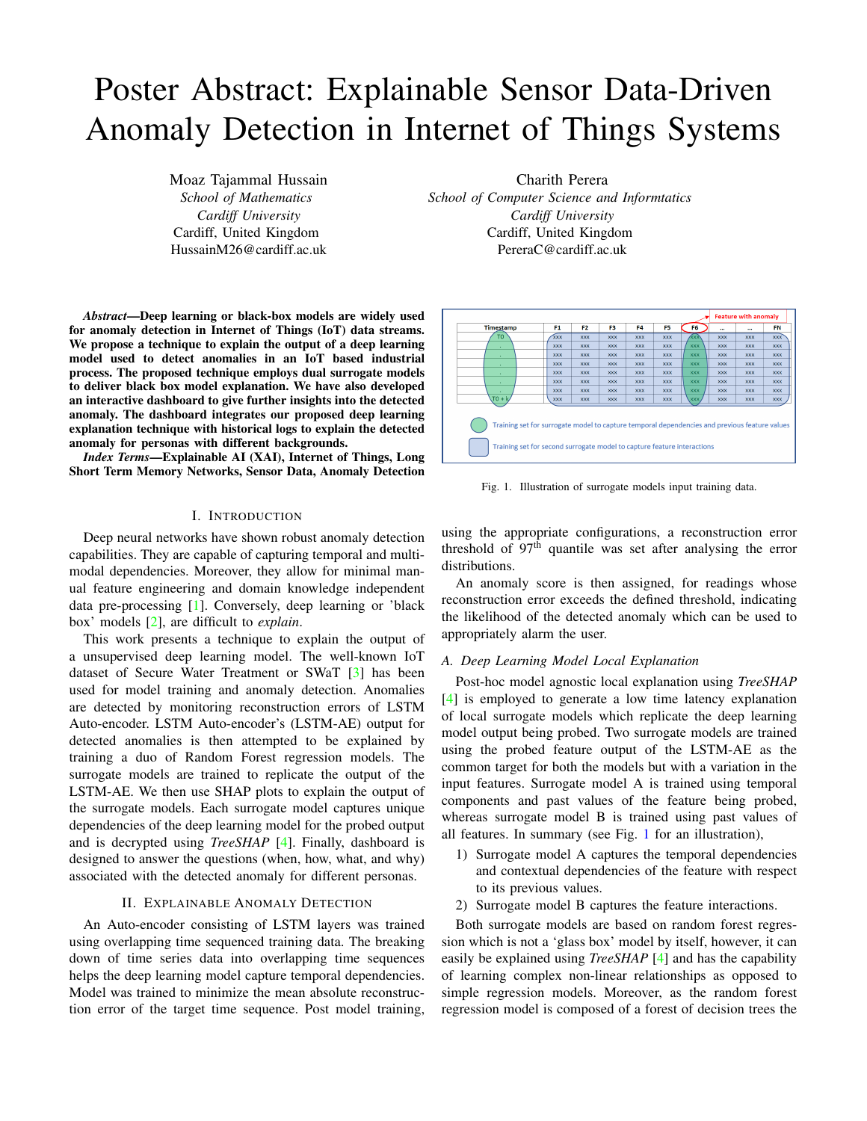# Poster Abstract: Explainable Sensor Data-Driven Anomaly Detection in Internet of Things Systems

Moaz Tajammal Hussain *School of Mathematics Cardiff University* Cardiff, United Kingdom HussainM26@cardiff.ac.uk

*Abstract*—Deep learning or black-box models are widely used for anomaly detection in Internet of Things (IoT) data streams. We propose a technique to explain the output of a deep learning model used to detect anomalies in an IoT based industrial process. The proposed technique employs dual surrogate models to deliver black box model explanation. We have also developed an interactive dashboard to give further insights into the detected anomaly. The dashboard integrates our proposed deep learning explanation technique with historical logs to explain the detected anomaly for personas with different backgrounds.

*Index Terms*—Explainable AI (XAI), Internet of Things, Long Short Term Memory Networks, Sensor Data, Anomaly Detection

# I. INTRODUCTION

Deep neural networks have shown robust anomaly detection capabilities. They are capable of capturing temporal and multimodal dependencies. Moreover, they allow for minimal manual feature engineering and domain knowledge independent data pre-processing [\[1\]](#page-1-0). Conversely, deep learning or 'black box' models [\[2\]](#page-1-1), are difficult to *explain*.

This work presents a technique to explain the output of a unsupervised deep learning model. The well-known IoT dataset of Secure Water Treatment or SWaT [\[3\]](#page-1-2) has been used for model training and anomaly detection. Anomalies are detected by monitoring reconstruction errors of LSTM Auto-encoder. LSTM Auto-encoder's (LSTM-AE) output for detected anomalies is then attempted to be explained by training a duo of Random Forest regression models. The surrogate models are trained to replicate the output of the LSTM-AE. We then use SHAP plots to explain the output of the surrogate models. Each surrogate model captures unique dependencies of the deep learning model for the probed output and is decrypted using *TreeSHAP* [\[4\]](#page-1-3). Finally, dashboard is designed to answer the questions (when, how, what, and why) associated with the detected anomaly for different personas.

## II. EXPLAINABLE ANOMALY DETECTION

An Auto-encoder consisting of LSTM layers was trained using overlapping time sequenced training data. The breaking down of time series data into overlapping time sequences helps the deep learning model capture temporal dependencies. Model was trained to minimize the mean absolute reconstruction error of the target time sequence. Post model training,

Charith Perera *School of Computer Science and Informtatics Cardiff University* Cardiff, United Kingdom PereraC@cardiff.ac.uk

|                                                                                                                                                                          |                |                |            |            |            |            |            | <b>Feature with anomaly</b> |            |  |
|--------------------------------------------------------------------------------------------------------------------------------------------------------------------------|----------------|----------------|------------|------------|------------|------------|------------|-----------------------------|------------|--|
| <b>Timestamp</b>                                                                                                                                                         | F <sub>1</sub> | F <sub>2</sub> | F3         | F4         | F5         | F6         | $\cdots$   | $\cdots$                    | <b>FN</b>  |  |
| T0                                                                                                                                                                       | <b>XXX</b>     | <b>XXX</b>     | <b>XXX</b> | <b>XXX</b> | <b>XXX</b> | ∕xxx       | <b>XXX</b> | <b>XXX</b>                  | <b>XXX</b> |  |
|                                                                                                                                                                          | <b>XXX</b>     | <b>XXX</b>     | <b>XXX</b> | <b>XXX</b> | <b>XXX</b> | <b>XXX</b> | <b>XXX</b> | <b>XXX</b>                  | <b>XXX</b> |  |
|                                                                                                                                                                          | <b>XXX</b>     | <b>XXX</b>     | <b>XXX</b> | <b>XXX</b> | <b>XXX</b> | <b>XXX</b> | <b>XXX</b> | <b>XXX</b>                  | <b>XXX</b> |  |
| ٠                                                                                                                                                                        | <b>XXX</b>     | <b>XXX</b>     | <b>XXX</b> | <b>XXX</b> | <b>XXX</b> | <b>XXX</b> | <b>XXX</b> | <b>XXX</b>                  | <b>XXX</b> |  |
|                                                                                                                                                                          | <b>XXX</b>     | <b>XXX</b>     | <b>XXX</b> | <b>XXX</b> | <b>XXX</b> | <b>XXX</b> | <b>XXX</b> | <b>XXX</b>                  | <b>XXX</b> |  |
|                                                                                                                                                                          | <b>XXX</b>     | <b>XXX</b>     | <b>XXX</b> | <b>XXX</b> | <b>XXX</b> | <b>XXX</b> | <b>XXX</b> | <b>XXX</b>                  | <b>XXX</b> |  |
|                                                                                                                                                                          | <b>XXX</b>     | <b>XXX</b>     | <b>XXX</b> | <b>XXX</b> | <b>XXX</b> | <b>XXX</b> | <b>XXX</b> | <b>XXX</b>                  | <b>XXX</b> |  |
| $T0 + k$                                                                                                                                                                 | <b>XXX</b>     | <b>XXX</b>     | <b>XXX</b> | <b>XXX</b> | <b>XXX</b> | XXX        | <b>XXX</b> | <b>XXX</b>                  | <b>XXX</b> |  |
| Training set for surrogate model to capture temporal dependencies and previous feature values<br>Training set for second surrogate model to capture feature interactions |                |                |            |            |            |            |            |                             |            |  |

<span id="page-0-0"></span>Fig. 1. Illustration of surrogate models input training data.

using the appropriate configurations, a reconstruction error threshold of  $97<sup>th</sup>$  quantile was set after analysing the error distributions.

An anomaly score is then assigned, for readings whose reconstruction error exceeds the defined threshold, indicating the likelihood of the detected anomaly which can be used to appropriately alarm the user.

# *A. Deep Learning Model Local Explanation*

Post-hoc model agnostic local explanation using *TreeSHAP* [\[4\]](#page-1-3) is employed to generate a low time latency explanation of local surrogate models which replicate the deep learning model output being probed. Two surrogate models are trained using the probed feature output of the LSTM-AE as the common target for both the models but with a variation in the input features. Surrogate model A is trained using temporal components and past values of the feature being probed, whereas surrogate model B is trained using past values of all features. In summary (see Fig. [1](#page-0-0) for an illustration),

- 1) Surrogate model A captures the temporal dependencies and contextual dependencies of the feature with respect to its previous values.
- 2) Surrogate model B captures the feature interactions.

Both surrogate models are based on random forest regression which is not a 'glass box' model by itself, however, it can easily be explained using *TreeSHAP* [\[4\]](#page-1-3) and has the capability of learning complex non-linear relationships as opposed to simple regression models. Moreover, as the random forest regression model is composed of a forest of decision trees the